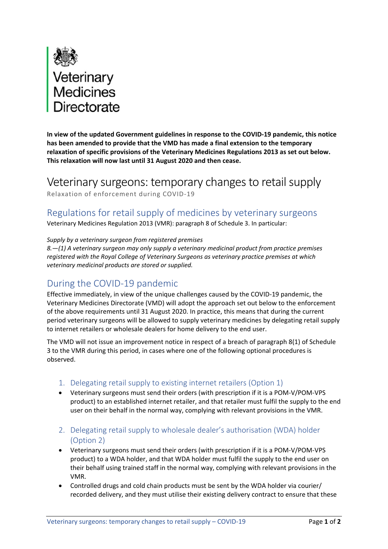

**In view of the updated Government guidelines in response to the COVID‐19 pandemic, this notice has been amended to provide that the VMD has made a final extension to the temporary relaxation of specific provisions of the Veterinary Medicines Regulations 2013 as set out below. This relaxation will now last until 31 August 2020 and then cease.**

Veterinary surgeons: temporary changes to retail supply Relaxation of enforcement during COVID‐19

## Regulations for retail supply of medicines by veterinary surgeons

Veterinary Medicines Regulation 2013 (VMR): paragraph 8 of Schedule 3. In particular:

## *Supply by a veterinary surgeon from registered premises*

*8.—(1) A veterinary surgeon may only supply a veterinary medicinal product from practice premises registered with the Royal College of Veterinary Surgeons as veterinary practice premises at which veterinary medicinal products are stored or supplied.* 

## During the COVID‐19 pandemic

Effective immediately, in view of the unique challenges caused by the COVID‐19 pandemic, the Veterinary Medicines Directorate (VMD) will adopt the approach set out below to the enforcement of the above requirements until 31 August 2020. In practice, this means that during the current period veterinary surgeons will be allowed to supply veterinary medicines by delegating retail supply to internet retailers or wholesale dealers for home delivery to the end user.

 The VMD will not issue an improvement notice in respect of a breach of paragraph 8(1) of Schedule 3 to the VMR during this period, in cases where one of the following optional procedures is observed.

- 1. Delegating retail supply to existing internet retailers (Option 1)
- Veterinary surgeons must send their orders (with prescription if it is a POM‐V/POM‐VPS product) to an established internet retailer, and that retailer must fulfil the supply to the end user on their behalf in the normal way, complying with relevant provisions in the VMR.
- 2. Delegating retail supply to wholesale dealer's authorisation (WDA) holder (Option 2)
- Veterinary surgeons must send their orders (with prescription if it is a POM‐V/POM‐VPS product) to a WDA holder, and that WDA holder must fulfil the supply to the end user on their behalf using trained staff in the normal way, complying with relevant provisions in the VMR.
- recorded delivery, and they must utilise their existing delivery contract to ensure that these Controlled drugs and cold chain products must be sent by the WDA holder via courier/